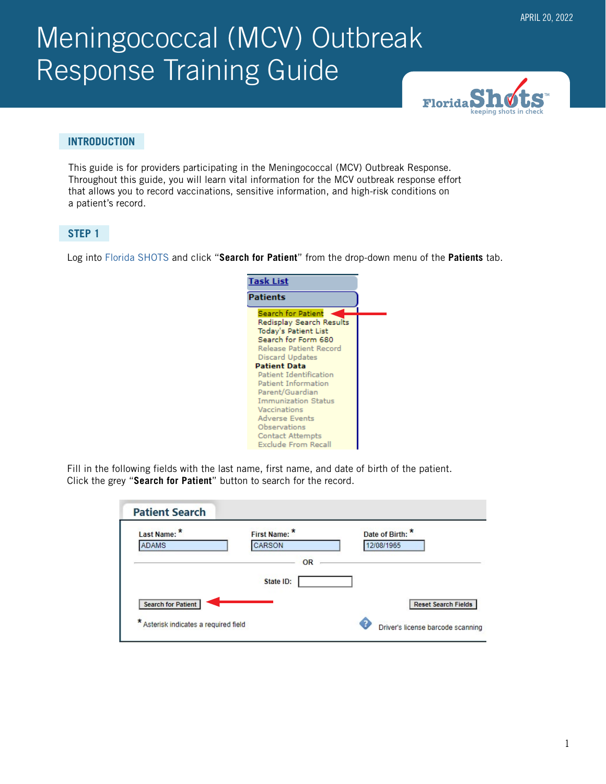# Meningococcal (MCV) Outbreak Response Training Guide



# **INTRODUCTION**

This guide is for providers participating in the Meningococcal (MCV) Outbreak Response. Throughout this guide, you will learn vital information for the MCV outbreak response effort that allows you to record vaccinations, sensitive information, and high-risk conditions on a patient's record.

# **STEP 1**

Log into [Florida SHOTS](https://www.flshotsusers.com/) and click "**Search for Patient**" from the drop-down menu of the **Patients** tab.

| <b>Task List</b>                                      |  |
|-------------------------------------------------------|--|
| <b>Patients</b>                                       |  |
| Search for Patient<br>Redisplay Search Results        |  |
| <b>Today's Patient List</b>                           |  |
| Search for Form 680<br>Release Patient Record         |  |
| Discard Updates<br><b>Patient Data</b>                |  |
| Patient Identification                                |  |
| <b>Patient Information</b><br>Parent/Guardian         |  |
| <b>Immunization Status</b>                            |  |
| Vaccinations<br><b>Adverse Events</b>                 |  |
| <b>Observations</b>                                   |  |
| <b>Contact Attempts</b><br><b>Exclude From Recall</b> |  |

Fill in the following fields with the last name, first name, and date of birth of the patient. Click the grey "**Search for Patient**" button to search for the record.

| Last Name: *              | First Name: | Date of Birth:             |
|---------------------------|-------------|----------------------------|
| <b>ADAMS</b>              | CARSON      | 12/08/1965                 |
|                           | OR          |                            |
|                           |             |                            |
|                           | State ID:   |                            |
| <b>Search for Patient</b> |             | <b>Reset Search Fields</b> |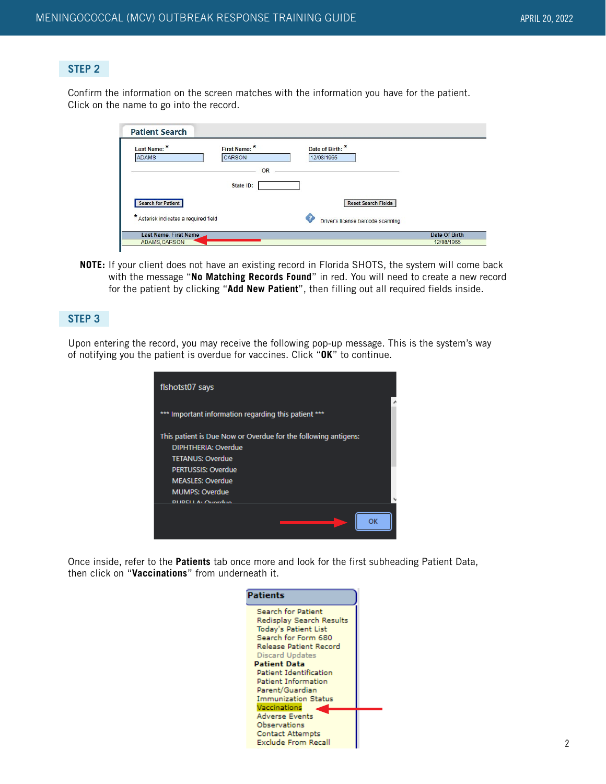# **STEP 2**

Confirm the information on the screen matches with the information you have for the patient. Click on the name to go into the record.

| Last Name: *<br><b>ADAMS</b>                   | First Name: *<br><b>CARSON</b> | Date of Birth: *<br>12/08/1965         |               |
|------------------------------------------------|--------------------------------|----------------------------------------|---------------|
|                                                | OR                             |                                        |               |
|                                                | State ID:                      |                                        |               |
| <b>Search for Patient</b>                      |                                | <b>Reset Search Fields</b>             |               |
| $\star$<br>Asterisk indicates a required field |                                | Ω<br>Driver's license barcode scanning |               |
| Last Name, First Name                          |                                |                                        | Date Of Birth |
| <b>ADAMS, CARSON</b>                           |                                |                                        | 12/08/1965    |

**NOTE:** If your client does not have an existing record in Florida SHOTS, the system will come back with the message "**No Matching Records Found**" in red. You will need to create a new record for the patient by clicking "**Add New Patient**", then filling out all required fields inside.

# **STEP 3**

Upon entering the record, you may receive the following pop-up message. This is the system's way of notifying you the patient is overdue for vaccines. Click "**OK**" to continue.

| fishotst07 says                                                |  |
|----------------------------------------------------------------|--|
| Important information regarding this patient ***               |  |
| This patient is Due Now or Overdue for the following antigens: |  |
| DIPHTHERIA: Overdue                                            |  |
| <b>TETANUS: Overdue</b>                                        |  |
| <b>PERTUSSIS: Overdue</b>                                      |  |
| <b>MEASLES: Overdue</b>                                        |  |
| <b>MUMPS: Overdue</b>                                          |  |
| <b>DUDELLA: Overdua</b>                                        |  |
| ОК                                                             |  |

Once inside, refer to the **Patients** tab once more and look for the first subheading Patient Data, then click on "**Vaccinations**" from underneath it.

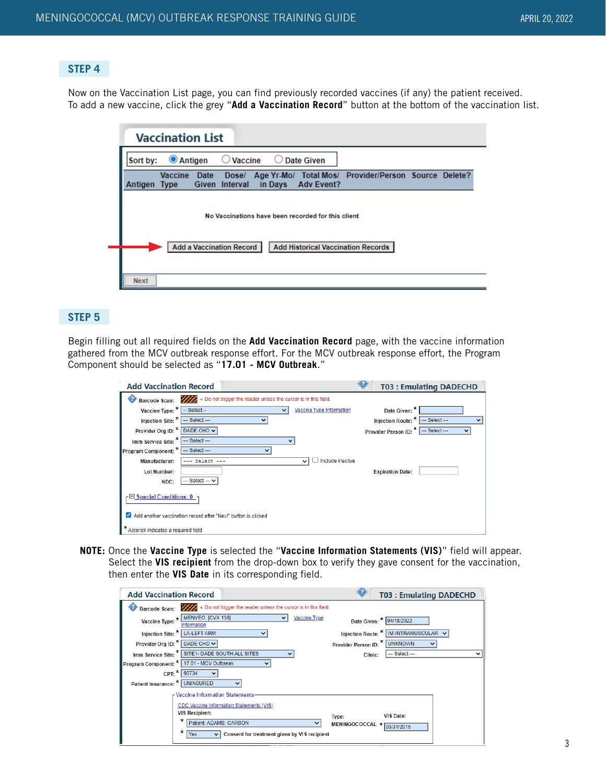# **STEP 4**

Now on the Vaccination List page, you can find previously recorded vaccines (if any) the patient received. To add a new vaccine, click the grey "**Add a Vaccination Record**" button at the bottom of the vaccination list.



#### **STEP 5**

Begin filling out all required fields on the **Add Vaccination Record** page, with the vaccine information gathered from the MCV outbreak response effort. For the MCV outbreak response effort, the Program Component should be selected as "**17.01 - MCV Outbreak**."

| <b>Add Vaccination Record</b>       |                                                                                    |                                  |                                    | <b>T03: Emulating DADECHD</b> |
|-------------------------------------|------------------------------------------------------------------------------------|----------------------------------|------------------------------------|-------------------------------|
|                                     | Barcode Scan: //// < Do not trigger the reader unless the cursor is in this field. |                                  |                                    |                               |
| Vaccine Type: $*$ $-$ Select --     |                                                                                    | <b>Vaccine Type Information</b>  | Date Given: *                      |                               |
| Injection Site: * -- Select ---     |                                                                                    |                                  | Injection Route: * - Select ---    |                               |
| Provider Org ID: * DADE CHD v       |                                                                                    |                                  | Provider Person ID: * - Select --- | $\checkmark$                  |
| Imm Service Site: * - Select ---    |                                                                                    |                                  |                                    |                               |
| Program Component: * -- Select ---  |                                                                                    |                                  |                                    |                               |
| <b>Manufacturer:</b>                | $--- Select ---$                                                                   | Include inactive<br>$\checkmark$ |                                    |                               |
| Lot Number:                         |                                                                                    |                                  | <b>Expiration Date:</b>            |                               |
| NDC:                                | $-$ Select $ \vee$                                                                 |                                  |                                    |                               |
| - El Special Conditions: 0 →        |                                                                                    |                                  |                                    |                               |
|                                     | Add another vaccination record after "Next" button is clicked                      |                                  |                                    |                               |
| Asterisk indicates a required field |                                                                                    |                                  |                                    |                               |

**NOTE:** Once the **Vaccine Type** is selected the "**Vaccine Information Statements (VIS)**" field will appear. Select the **VIS recipient** from the drop-down box to verify they gave consent for the vaccination, then enter the **VIS Date** in its corresponding field.

| <b>Add Vaccination Record</b>             |                                                                                                                                                                                      |              |                               | <b>T03: Emulating DADECHD</b>           |
|-------------------------------------------|--------------------------------------------------------------------------------------------------------------------------------------------------------------------------------------|--------------|-------------------------------|-----------------------------------------|
| <b>Barcode Scan:</b>                      | Do not trigger the reader unless the cursor is in this field.                                                                                                                        |              |                               |                                         |
| Vaccine Type: *                           | MENVEO [CVX 136]<br>Information                                                                                                                                                      | Vaccine Type |                               | Date Given: * 04/18/2022                |
| Injection Site: * LA-LEFT ARM             |                                                                                                                                                                                      |              |                               | Injection Route: *   IM-INTRAMUSCULAR v |
| Provider Org ID: * DADE CHD V             |                                                                                                                                                                                      |              | Provider Person ID: * UNKNOWN |                                         |
|                                           | Imm Service Site: " SITE1- DADE SOUTH ALL SITES                                                                                                                                      | v            | Clinic:                       | --- Select ---                          |
| Program Component: * 17.01 - MCV Outbreak |                                                                                                                                                                                      |              |                               |                                         |
|                                           | CPT: * 90734                                                                                                                                                                         |              |                               |                                         |
| Patient Insurance: * UNINSURED            |                                                                                                                                                                                      |              |                               |                                         |
|                                           | - Vaccine Information Statements-                                                                                                                                                    |              |                               |                                         |
|                                           | <b>CDC Vaccine Information Statements (VIS)</b><br><b>VIS Recipient:</b><br>×<br>Patient: ADAMS, CARSON<br>*<br>Consent for treatment given by VIS recipient<br>Yes.<br>$\checkmark$ |              | Type:<br>MENINGOCOCCAL *      | <b>VIS Date:</b><br>03/31/2016          |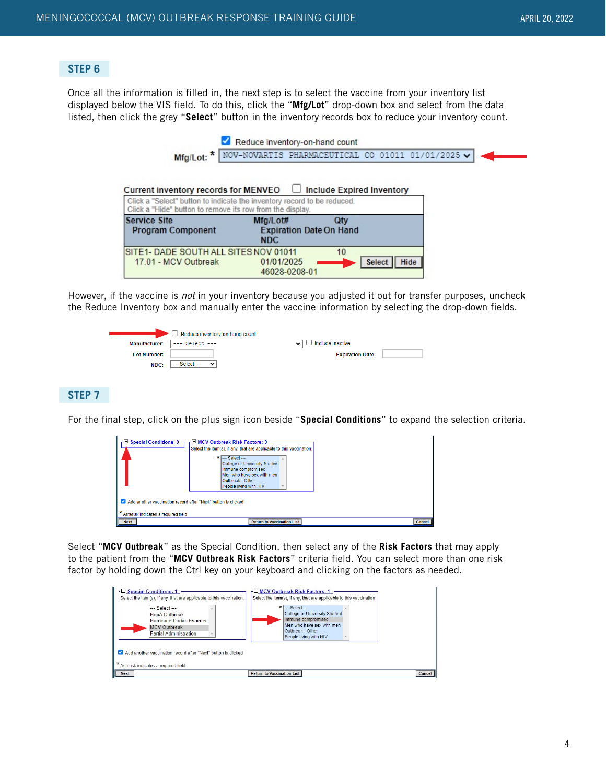# **STEP 6**

Once all the information is filled in, the next step is to select the vaccine from your inventory list displayed below the VIS field. To do this, click the "**Mfg/Lot**" drop-down box and select from the data listed, then click the grey "**Select**" button in the inventory records box to reduce your inventory count.

|                                                                                                                                      | Reduce inventory-on-hand count                                        |                                  |             |
|--------------------------------------------------------------------------------------------------------------------------------------|-----------------------------------------------------------------------|----------------------------------|-------------|
| Mfg/Lot: *                                                                                                                           | NOV-NOVARTIS PHARMACEUTICAL CO 01011 01/01/2025 $\blacktriangleright$ |                                  |             |
| Current inventory records for MENVEO $\quad \Box$                                                                                    |                                                                       | <b>Include Expired Inventory</b> |             |
| Click a "Select" button to indicate the inventory record to be reduced.<br>Click a "Hide" button to remove its row from the display. |                                                                       |                                  |             |
| <b>Service Site</b><br><b>Program Component</b>                                                                                      | Mfg/Lot#<br><b>Expiration Date On Hand</b><br><b>NDC</b>              | Qtv                              |             |
| SITE1- DADE SOUTH ALL SITES NOV 01011<br>17.01 - MCV Outbreak                                                                        | 01/01/2025<br>46028-0208-01                                           | 10<br>Select                     | <b>Hide</b> |

However, if the vaccine is not in your inventory because you adjusted it out for transfer purposes, uncheck the Reduce Inventory box and manually enter the vaccine information by selecting the drop-down fields.



# **STEP 7**

For the final step, click on the plus sign icon beside "**Special Conditions**" to expand the selection criteria.

| <b>El Special Conditions: 0</b>                                                                        | F <sup>□</sup> MCV Outbreak Risk Factors: 0<br>Select the item(s), if any, that are applicable to this vaccination.<br>$\star$ - Select ---<br>College or University Student<br>Immune compromised<br>Men who have sex with men<br>Outbreak - Other<br>People living with HIV |        |  |  |
|--------------------------------------------------------------------------------------------------------|-------------------------------------------------------------------------------------------------------------------------------------------------------------------------------------------------------------------------------------------------------------------------------|--------|--|--|
| Add another vaccination record after "Next" button is clicked<br>* Asterisk indicates a required field |                                                                                                                                                                                                                                                                               |        |  |  |
| <b>Next</b>                                                                                            | <b>Return to Vaccination List</b>                                                                                                                                                                                                                                             | Cancel |  |  |

Select "**MCV Outbreak**" as the Special Condition, then select any of the **Risk Factors** that may apply to the patient from the "**MCV Outbreak Risk Factors**" criteria field. You can select more than one risk factor by holding down the Ctrl key on your keyboard and clicking on the factors as needed.

| r <sup>□</sup> Special Conditions: 1<br>Select the item(s), if any, that are applicable to this vaccination.<br>$-$ Select $-$<br><b>HepA Outbreak</b><br>Hurricane Dorian Evacuee<br><b>MCV Outbreak</b><br>Partial Administration<br>Add another vaccination record after "Next" button is clicked<br>Asterisk indicates a required field | MCV Outbreak Risk Factors: 1<br>Select the item(s), if any, that are applicable to this vaccination.<br>$\star$ - Select -<br><b>College or University Student</b><br>Immune compromised<br>Men who have sex with men<br>Outbreak - Other<br>People living with HIV |        |
|---------------------------------------------------------------------------------------------------------------------------------------------------------------------------------------------------------------------------------------------------------------------------------------------------------------------------------------------|---------------------------------------------------------------------------------------------------------------------------------------------------------------------------------------------------------------------------------------------------------------------|--------|
| <b>Next</b>                                                                                                                                                                                                                                                                                                                                 | <b>Return to Vaccination List</b>                                                                                                                                                                                                                                   | Cancel |